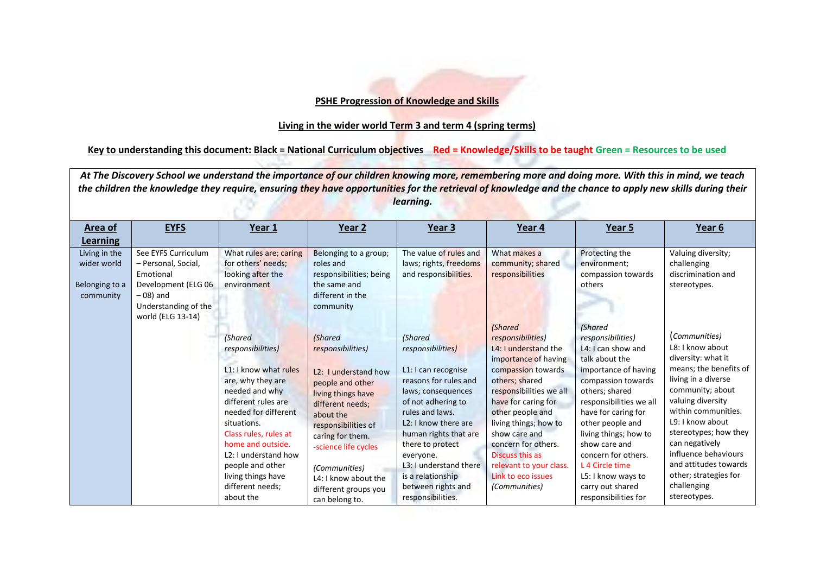## **PSHE Progression of Knowledge and Skills**

## **Living in the wider world Term 3 and term 4 (spring terms)**

## **Key to understanding this document: Black = National Curriculum objectives Red = Knowledge/Skills to be taught Green = Resources to be used**

At The Discovery School we understand the importance of our children knowing more, remembering more and doing more. With this in mind, we teach *the children the knowledge they require, ensuring they have opportunities for the retrieval of knowledge and the chance to apply new skills during their learning.*

| Area of                                                                 | <b>EYFS</b>                                                                                                                                | Year 1                                                                                                                                                                                                                                                                                                                                          | Year 2                                                                                                                                                                                                                                                                                                                                   | Year 3                                                                                                                                                                                                                                                                                                                                                                | Year 4                                                                                                                                                                                                                                                                                                                                                             | Year 5                                                                                                                                                                                                                                                                                                                                                                  | Year 6                                                                                                                                                                                                                                                                                                                                                              |
|-------------------------------------------------------------------------|--------------------------------------------------------------------------------------------------------------------------------------------|-------------------------------------------------------------------------------------------------------------------------------------------------------------------------------------------------------------------------------------------------------------------------------------------------------------------------------------------------|------------------------------------------------------------------------------------------------------------------------------------------------------------------------------------------------------------------------------------------------------------------------------------------------------------------------------------------|-----------------------------------------------------------------------------------------------------------------------------------------------------------------------------------------------------------------------------------------------------------------------------------------------------------------------------------------------------------------------|--------------------------------------------------------------------------------------------------------------------------------------------------------------------------------------------------------------------------------------------------------------------------------------------------------------------------------------------------------------------|-------------------------------------------------------------------------------------------------------------------------------------------------------------------------------------------------------------------------------------------------------------------------------------------------------------------------------------------------------------------------|---------------------------------------------------------------------------------------------------------------------------------------------------------------------------------------------------------------------------------------------------------------------------------------------------------------------------------------------------------------------|
| Learning<br>Living in the<br>wider world<br>Belonging to a<br>community | See EYFS Curriculum<br>- Personal, Social,<br>Emotional<br>Development (ELG 06<br>$-08$ ) and<br>Understanding of the<br>world (ELG 13-14) | What rules are; caring<br>for others' needs;<br>looking after the<br>environment<br><b>(Shared</b><br>responsibilities)<br>L1: I know what rules<br>are, why they are<br>needed and why<br>different rules are<br>needed for different<br>situations.<br>Class rules, rules at<br>home and outside.<br>L2: I understand how<br>people and other | Belonging to a group;<br>roles and<br>responsibilities; being<br>the same and<br>different in the<br>community<br><b>(Shared</b><br>responsibilities)<br>L <sub>2</sub> : I understand how<br>people and other<br>living things have<br>different needs;<br>about the<br>responsibilities of<br>caring for them.<br>-science life cycles | The value of rules and<br>laws; rights, freedoms<br>and responsibilities.<br><b>(Shared</b><br>responsibilities)<br>L1: I can recognise<br>reasons for rules and<br>laws; consequences<br>of not adhering to<br>rules and laws.<br>L <sub>2</sub> : I know there are<br>human rights that are<br>there to protect<br>everyone.<br>L <sub>3</sub> : I understand there | What makes a<br>community; shared<br>responsibilities<br>(Shared<br>responsibilities)<br>L4: I understand the<br>importance of having<br>compassion towards<br>others; shared<br>responsibilities we all<br>have for caring for<br>other people and<br>living things; how to<br>show care and<br>concern for others.<br>Discuss this as<br>relevant to your class. | Protecting the<br>environment;<br>compassion towards<br>others<br><b>(Shared</b><br>responsibilities)<br>L4: I can show and<br>talk about the<br>importance of having<br>compassion towards<br>others: shared<br>responsibilities we all<br>have for caring for<br>other people and<br>living things; how to<br>show care and<br>concern for others.<br>L 4 Circle time | Valuing diversity;<br>challenging<br>discrimination and<br>stereotypes.<br>(Communities)<br>L8: I know about<br>diversity: what it<br>means; the benefits of<br>living in a diverse<br>community; about<br>valuing diversity<br>within communities.<br>L9: I know about<br>stereotypes; how they<br>can negatively<br>influence behaviours<br>and attitudes towards |
|                                                                         |                                                                                                                                            | living things have<br>different needs;<br>about the                                                                                                                                                                                                                                                                                             | (Communities)<br>L4: I know about the<br>different groups you<br>can belong to.                                                                                                                                                                                                                                                          | is a relationship<br>between rights and<br>responsibilities.                                                                                                                                                                                                                                                                                                          | Link to eco issues<br>(Communities)                                                                                                                                                                                                                                                                                                                                | L5: I know ways to<br>carry out shared<br>responsibilities for                                                                                                                                                                                                                                                                                                          | other; strategies for<br>challenging<br>stereotypes.                                                                                                                                                                                                                                                                                                                |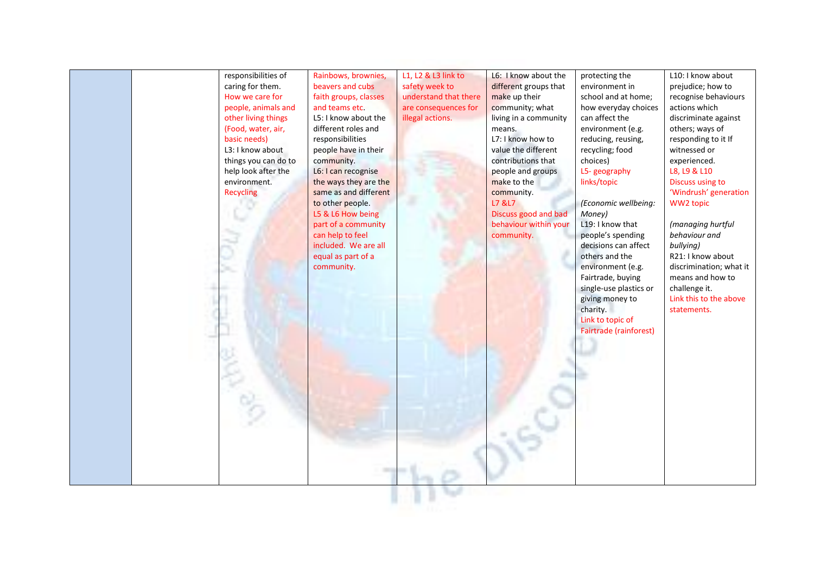

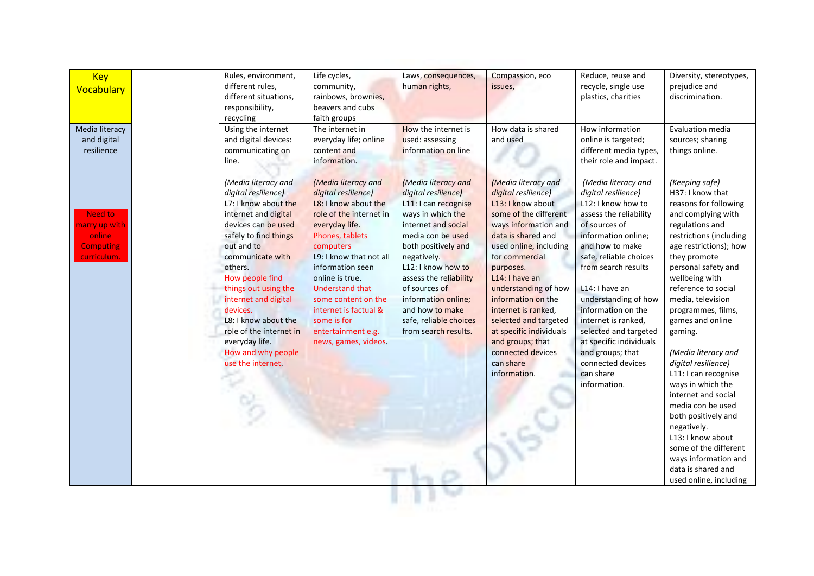| <b>Key</b>       | Rules, environment,                             | Life cycles,                               | Laws, consequences,                            | Compassion, eco                             | Reduce, reuse and                            | Diversity, stereotypes, |
|------------------|-------------------------------------------------|--------------------------------------------|------------------------------------------------|---------------------------------------------|----------------------------------------------|-------------------------|
| Vocabulary       | different rules,                                | community,                                 | human rights,                                  | issues,                                     | recycle, single use                          | prejudice and           |
|                  | different situations,                           | rainbows, brownies,                        |                                                |                                             | plastics, charities                          | discrimination.         |
|                  | responsibility,                                 | beavers and cubs                           |                                                |                                             |                                              |                         |
|                  | recycling                                       | faith groups                               |                                                |                                             |                                              |                         |
| Media literacy   | Using the internet                              | The internet in                            | How the internet is                            | How data is shared                          | How information                              | Evaluation media        |
| and digital      | and digital devices:                            | everyday life; online                      | used: assessing                                | and used                                    | online is targeted;                          | sources; sharing        |
| resilience       | communicating on                                | content and                                | information on line                            |                                             | different media types,                       | things online.          |
|                  | line.                                           | information.                               |                                                |                                             | their role and impact.                       |                         |
|                  | (Media literacy and                             | (Media literacy and                        | (Media literacy and                            | (Media literacy and                         | (Media literacy and                          | (Keeping safe)          |
|                  | digital resilience)                             | digital resilience)                        | digital resilience)                            | digital resilience)                         | digital resilience)                          | H37: I know that        |
|                  | L7: I know about the                            | L8: I know about the                       | L11: I can recognise                           | L13: I know about                           | L12: I know how to                           | reasons for following   |
| <b>Need to</b>   | internet and digital                            | role of the internet in                    | ways in which the                              | some of the different                       | assess the reliability                       | and complying with      |
| marry up with    | devices can be used                             | everyday life.                             | internet and social                            | ways information and                        | of sources of                                | regulations and         |
| online           | safely to find things                           | Phones, tablets                            | media con be used                              | data is shared and                          | information online;                          | restrictions (including |
| <b>Computing</b> | out and to                                      | computers                                  | both positively and                            | used online, including                      | and how to make                              | age restrictions); how  |
| curriculum.      | communicate with                                | L9: I know that not all                    | negatively.                                    | for commercial                              | safe, reliable choices                       | they promote            |
|                  | others.                                         | information seen                           | L12: I know how to                             | purposes.                                   | from search results                          | personal safety and     |
|                  | How people find                                 | online is true.                            | assess the reliability                         | L14: I have an                              |                                              | wellbeing with          |
|                  | things out using the                            | <b>Understand that</b>                     | of sources of                                  | understanding of how                        | L14: I have an                               | reference to social     |
|                  | internet and digital                            | some content on the                        | information online;                            | information on the                          | understanding of how                         | media, television       |
|                  | devices.                                        | internet is factual &                      | and how to make                                | internet is ranked,                         | information on the                           | programmes, films,      |
|                  | L8: I know about the<br>role of the internet in | some is for                                | safe, reliable choices<br>from search results. | selected and targeted                       | internet is ranked,<br>selected and targeted | games and online        |
|                  | everyday life.                                  | entertainment e.g.<br>news, games, videos. |                                                | at specific individuals<br>and groups; that | at specific individuals                      | gaming.                 |
|                  | How and why people                              |                                            |                                                | connected devices                           | and groups; that                             | (Media literacy and     |
|                  | use the internet.                               |                                            |                                                | can share                                   | connected devices                            | digital resilience)     |
|                  |                                                 |                                            |                                                | information.                                | can share                                    | L11: I can recognise    |
|                  |                                                 |                                            |                                                |                                             | information.                                 | ways in which the       |
|                  |                                                 |                                            |                                                |                                             |                                              | internet and social     |
|                  |                                                 |                                            |                                                |                                             |                                              | media con be used       |
|                  |                                                 |                                            |                                                |                                             |                                              | both positively and     |
|                  |                                                 |                                            |                                                |                                             |                                              | negatively.             |
|                  |                                                 |                                            |                                                |                                             |                                              | L13: I know about       |
|                  |                                                 |                                            |                                                |                                             |                                              | some of the different   |
|                  |                                                 |                                            |                                                |                                             |                                              | ways information and    |
|                  |                                                 |                                            |                                                |                                             |                                              | data is shared and      |
|                  |                                                 |                                            |                                                |                                             |                                              | used online, including  |
|                  |                                                 |                                            |                                                |                                             |                                              |                         |
|                  |                                                 |                                            |                                                |                                             |                                              |                         |
|                  |                                                 |                                            |                                                |                                             |                                              |                         |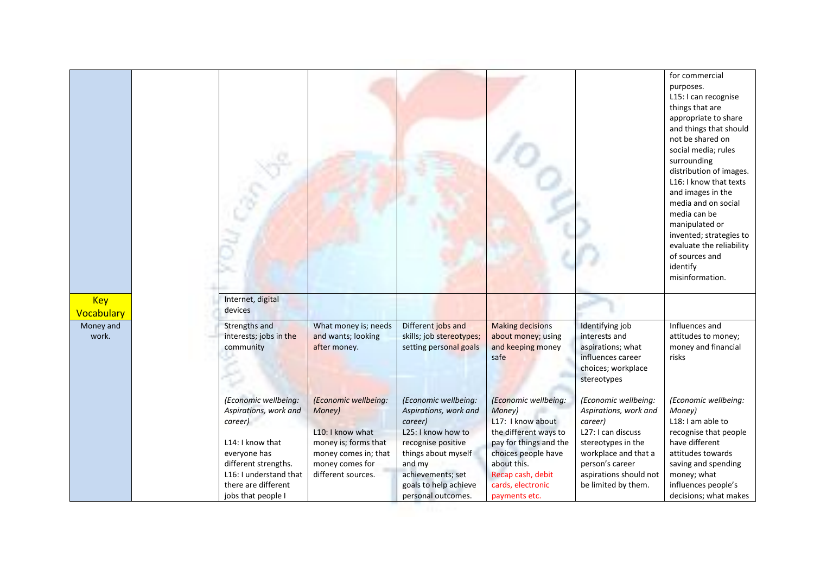|                          |                                                                                                                                                                                             |                                                                                                                                             |                                                                                                                                                                                                           |                                                                                                                                                                                                         |                                                                                                                                                                                                  | for commercial<br>purposes.<br>L15: I can recognise<br>things that are<br>appropriate to share<br>and things that should<br>not be shared on<br>social media; rules<br>surrounding<br>distribution of images.<br>L16: I know that texts<br>and images in the<br>media and on social<br>media can be<br>manipulated or<br>invented; strategies to<br>evaluate the reliability<br>of sources and<br>identify<br>misinformation. |
|--------------------------|---------------------------------------------------------------------------------------------------------------------------------------------------------------------------------------------|---------------------------------------------------------------------------------------------------------------------------------------------|-----------------------------------------------------------------------------------------------------------------------------------------------------------------------------------------------------------|---------------------------------------------------------------------------------------------------------------------------------------------------------------------------------------------------------|--------------------------------------------------------------------------------------------------------------------------------------------------------------------------------------------------|-------------------------------------------------------------------------------------------------------------------------------------------------------------------------------------------------------------------------------------------------------------------------------------------------------------------------------------------------------------------------------------------------------------------------------|
| <b>Key</b><br>Vocabulary | Internet, digital<br>devices                                                                                                                                                                |                                                                                                                                             |                                                                                                                                                                                                           |                                                                                                                                                                                                         |                                                                                                                                                                                                  |                                                                                                                                                                                                                                                                                                                                                                                                                               |
| Money and<br>work.       | Strengths and<br>interests; jobs in the<br>community                                                                                                                                        | What money is; needs<br>and wants; looking<br>after money.                                                                                  | Different jobs and<br>skills; job stereotypes;<br>setting personal goals                                                                                                                                  | <b>Making decisions</b><br>about money; using<br>and keeping money<br>safe                                                                                                                              | Identifying job<br>interests and<br>aspirations; what<br>influences career<br>choices; workplace<br>stereotypes                                                                                  | Influences and<br>attitudes to money;<br>money and financial<br>risks                                                                                                                                                                                                                                                                                                                                                         |
|                          | (Economic wellbeing:<br>Aspirations, work and<br>career)<br>L14: I know that<br>everyone has<br>different strengths.<br>L16: I understand that<br>there are different<br>jobs that people I | (Economic wellbeing:<br>Money)<br>L10: I know what<br>money is; forms that<br>money comes in; that<br>money comes for<br>different sources. | (Economic wellbeing:<br>Aspirations, work and<br>career)<br>L25: I know how to<br>recognise positive<br>things about myself<br>and my<br>achievements; set<br>goals to help achieve<br>personal outcomes. | (Economic wellbeing:<br>Money)<br>L17: I know about<br>the different ways to<br>pay for things and the<br>choices people have<br>about this.<br>Recap cash, debit<br>cards, electronic<br>payments etc. | (Economic wellbeing:<br>Aspirations, work and<br>career)<br>L27: I can discuss<br>stereotypes in the<br>workplace and that a<br>person's career<br>aspirations should not<br>be limited by them. | (Economic wellbeing:<br>Money)<br>L18: I am able to<br>recognise that people<br>have different<br>attitudes towards<br>saving and spending<br>money; what<br>influences people's<br>decisions; what makes                                                                                                                                                                                                                     |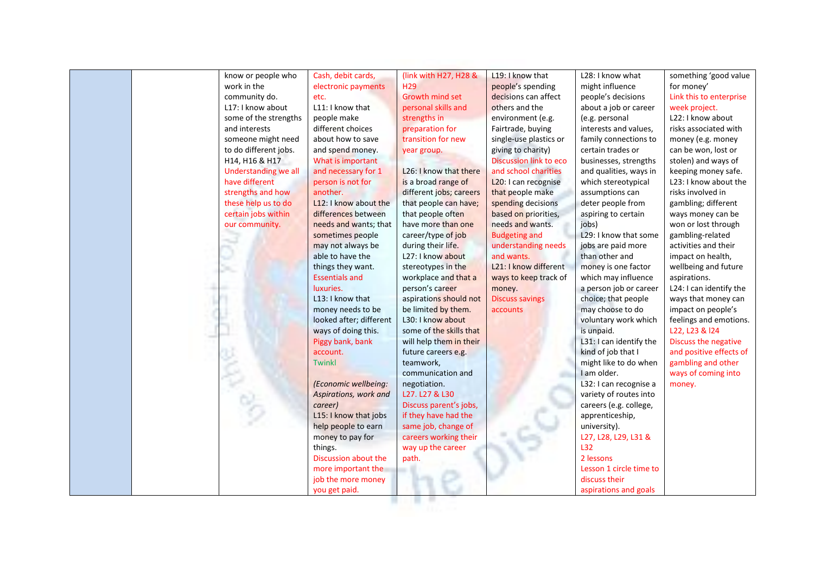| know or people who    | Cash, debit cards,      | (link with H27, H28 &   | L19: I know that              | L28: I know what        | something 'good value   |
|-----------------------|-------------------------|-------------------------|-------------------------------|-------------------------|-------------------------|
| work in the           | electronic payments     | H <sub>29</sub>         | people's spending             | might influence         | for money'              |
| community do.         | etc.                    | Growth mind set         | decisions can affect          | people's decisions      | Link this to enterprise |
| L17: I know about     | L11: I know that        | personal skills and     | others and the                | about a job or career   | week project.           |
| some of the strengths | people make             | strengths in            | environment (e.g.             | (e.g. personal          | L22: I know about       |
| and interests         | different choices       | preparation for         | Fairtrade, buying             | interests and values,   | risks associated with   |
| someone might need    | about how to save       | transition for new      | single-use plastics or        | family connections to   | money (e.g. money       |
| to do different jobs. | and spend money.        | year group.             | giving to charity)            | certain trades or       | can be won, lost or     |
| H14, H16 & H17        | What is important       |                         | <b>Discussion link to eco</b> | businesses, strengths   | stolen) and ways of     |
| Understanding we all  | and necessary for 1     | L26: I know that there  | and school charities          | and qualities, ways in  | keeping money safe.     |
| have different        | person is not for       | is a broad range of     | L20: I can recognise          | which stereotypical     | L23: I know about the   |
| strengths and how     | another.                | different jobs; careers | that people make              | assumptions can         | risks involved in       |
| these help us to do   | L12: I know about the   | that people can have;   | spending decisions            | deter people from       | gambling; different     |
| certain jobs within   | differences between     | that people often       | based on priorities,          | aspiring to certain     | ways money can be       |
| our community.        | needs and wants; that   | have more than one      | needs and wants.              | jobs)                   | won or lost through     |
|                       | sometimes people        | career/type of job      | <b>Budgeting and</b>          | L29: I know that some   | gambling-related        |
|                       | may not always be       | during their life.      | understanding needs           | jobs are paid more      | activities and their    |
|                       | able to have the        | L27: I know about       | and wants.                    | than other and          | impact on health,       |
|                       | things they want.       | stereotypes in the      | L21: I know different         | money is one factor     | wellbeing and future    |
|                       | <b>Essentials and</b>   | workplace and that a    | ways to keep track of         | which may influence     | aspirations.            |
|                       | luxuries.               | person's career         | money.                        | a person job or career  | L24: I can identify the |
|                       | L13: I know that        | aspirations should not  | <b>Discuss savings</b>        | choice; that people     | ways that money can     |
|                       | money needs to be       | be limited by them.     | accounts                      | may choose to do        | impact on people's      |
|                       | looked after; different | L30: I know about       |                               | voluntary work which    | feelings and emotions.  |
|                       | ways of doing this.     | some of the skills that |                               | is unpaid.              | L22, L23 & I24          |
|                       | Piggy bank, bank        | will help them in their |                               | L31: I can identify the | Discuss the negative    |
|                       | account.                | future careers e.g.     |                               | kind of job that I      | and positive effects of |
|                       | <b>Twinkl</b>           | teamwork,               |                               | might like to do when   | gambling and other      |
|                       |                         | communication and       |                               | I am older.             | ways of coming into     |
|                       | (Economic wellbeing:    | negotiation.            |                               | L32: I can recognise a  | money.                  |
|                       | Aspirations, work and   | L27. L27 & L30          |                               | variety of routes into  |                         |
|                       | career)                 | Discuss parent's jobs,  |                               | careers (e.g. college,  |                         |
|                       | L15: I know that jobs   | if they have had the    |                               | apprenticeship,         |                         |
|                       | help people to earn     | same job, change of     |                               | university).            |                         |
|                       | money to pay for        | careers working their   |                               | L27, L28, L29, L31 &    |                         |
|                       | things.                 | way up the career       |                               | L32                     |                         |
|                       | Discussion about the    | path.                   |                               | 2 lessons               |                         |
|                       | more important the      | . .                     |                               | Lesson 1 circle time to |                         |
|                       | job the more money      |                         |                               | discuss their           |                         |
|                       | you get paid.           |                         |                               | aspirations and goals   |                         |